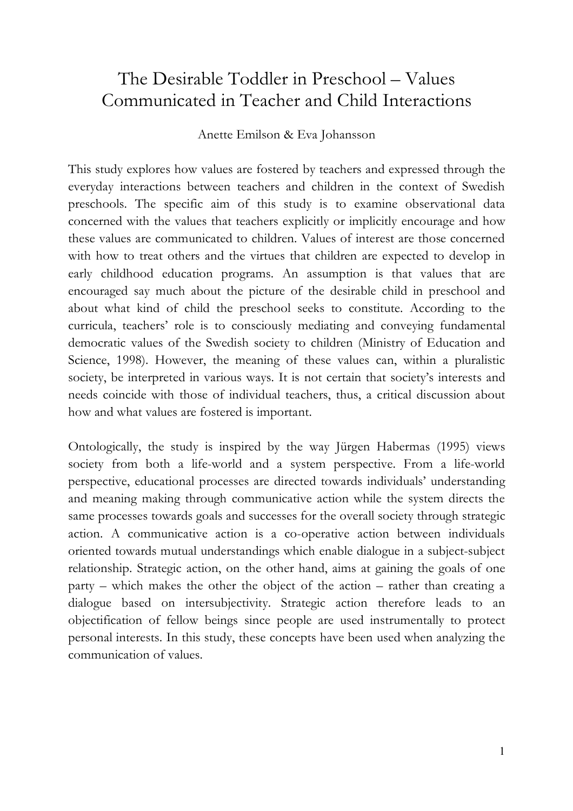# The Desirable Toddler in Preschool – Values Communicated in Teacher and Child Interactions

Anette Emilson & Eva Johansson

This study explores how values are fostered by teachers and expressed through the everyday interactions between teachers and children in the context of Swedish preschools. The specific aim of this study is to examine observational data concerned with the values that teachers explicitly or implicitly encourage and how these values are communicated to children. Values of interest are those concerned with how to treat others and the virtues that children are expected to develop in early childhood education programs. An assumption is that values that are encouraged say much about the picture of the desirable child in preschool and about what kind of child the preschool seeks to constitute. According to the curricula, teachers' role is to consciously mediating and conveying fundamental democratic values of the Swedish society to children (Ministry of Education and Science, 1998). However, the meaning of these values can, within a pluralistic society, be interpreted in various ways. It is not certain that society's interests and needs coincide with those of individual teachers, thus, a critical discussion about how and what values are fostered is important.

Ontologically, the study is inspired by the way Jürgen Habermas (1995) views society from both a life-world and a system perspective. From a life-world perspective, educational processes are directed towards individuals' understanding and meaning making through communicative action while the system directs the same processes towards goals and successes for the overall society through strategic action. A communicative action is a co-operative action between individuals oriented towards mutual understandings which enable dialogue in a subject-subject relationship. Strategic action, on the other hand, aims at gaining the goals of one party – which makes the other the object of the action – rather than creating a dialogue based on intersubjectivity. Strategic action therefore leads to an objectification of fellow beings since people are used instrumentally to protect personal interests. In this study, these concepts have been used when analyzing the communication of values.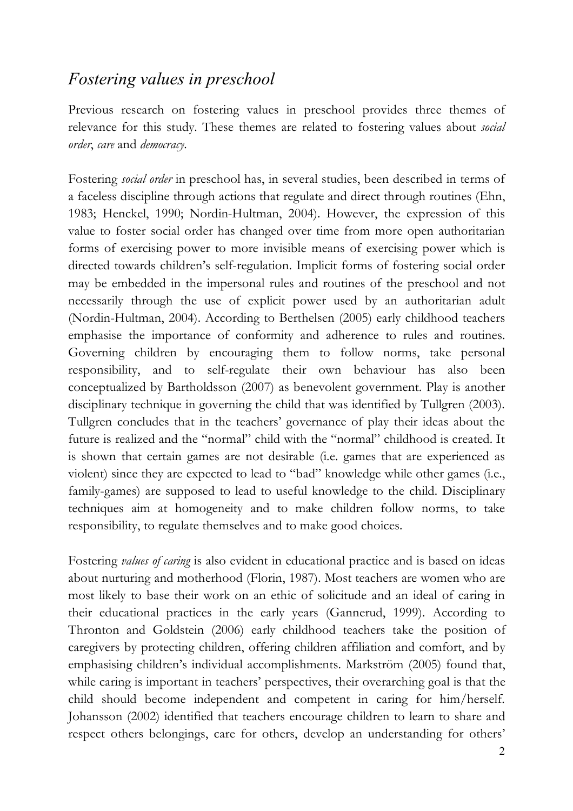# *Fostering values in preschool*

Previous research on fostering values in preschool provides three themes of relevance for this study. These themes are related to fostering values about *social order*, *care* and *democracy*.

Fostering *social order* in preschool has, in several studies, been described in terms of a faceless discipline through actions that regulate and direct through routines (Ehn, 1983; Henckel, 1990; Nordin-Hultman, 2004). However, the expression of this value to foster social order has changed over time from more open authoritarian forms of exercising power to more invisible means of exercising power which is directed towards children's self-regulation. Implicit forms of fostering social order may be embedded in the impersonal rules and routines of the preschool and not necessarily through the use of explicit power used by an authoritarian adult (Nordin-Hultman, 2004). According to Berthelsen (2005) early childhood teachers emphasise the importance of conformity and adherence to rules and routines. Governing children by encouraging them to follow norms, take personal responsibility, and to self-regulate their own behaviour has also been conceptualized by Bartholdsson (2007) as benevolent government. Play is another disciplinary technique in governing the child that was identified by Tullgren (2003). Tullgren concludes that in the teachers' governance of play their ideas about the future is realized and the "normal" child with the "normal" childhood is created. It is shown that certain games are not desirable (i.e. games that are experienced as violent) since they are expected to lead to "bad" knowledge while other games (i.e., family-games) are supposed to lead to useful knowledge to the child. Disciplinary techniques aim at homogeneity and to make children follow norms, to take responsibility, to regulate themselves and to make good choices.

Fostering *values of caring* is also evident in educational practice and is based on ideas about nurturing and motherhood (Florin, 1987). Most teachers are women who are most likely to base their work on an ethic of solicitude and an ideal of caring in their educational practices in the early years (Gannerud, 1999). According to Thronton and Goldstein (2006) early childhood teachers take the position of caregivers by protecting children, offering children affiliation and comfort, and by emphasising children's individual accomplishments. Markström (2005) found that, while caring is important in teachers' perspectives, their overarching goal is that the child should become independent and competent in caring for him/herself. Johansson (2002) identified that teachers encourage children to learn to share and respect others belongings, care for others, develop an understanding for others'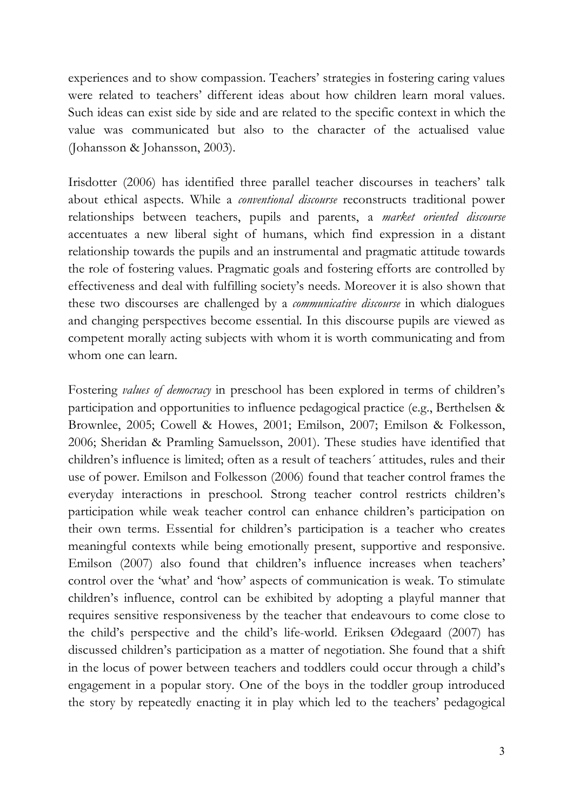experiences and to show compassion. Teachers' strategies in fostering caring values were related to teachers' different ideas about how children learn moral values. Such ideas can exist side by side and are related to the specific context in which the value was communicated but also to the character of the actualised value (Johansson & Johansson, 2003).

Irisdotter (2006) has identified three parallel teacher discourses in teachers' talk about ethical aspects. While a *conventional discourse* reconstructs traditional power relationships between teachers, pupils and parents, a *market oriented discourse* accentuates a new liberal sight of humans, which find expression in a distant relationship towards the pupils and an instrumental and pragmatic attitude towards the role of fostering values. Pragmatic goals and fostering efforts are controlled by effectiveness and deal with fulfilling society's needs. Moreover it is also shown that these two discourses are challenged by a *communicative discourse* in which dialogues and changing perspectives become essential. In this discourse pupils are viewed as competent morally acting subjects with whom it is worth communicating and from whom one can learn.

Fostering *values of democracy* in preschool has been explored in terms of children's participation and opportunities to influence pedagogical practice (e.g., Berthelsen & Brownlee, 2005; Cowell & Howes, 2001; Emilson, 2007; Emilson & Folkesson, 2006; Sheridan & Pramling Samuelsson, 2001). These studies have identified that children's influence is limited; often as a result of teachers´ attitudes, rules and their use of power. Emilson and Folkesson (2006) found that teacher control frames the everyday interactions in preschool. Strong teacher control restricts children's participation while weak teacher control can enhance children's participation on their own terms. Essential for children's participation is a teacher who creates meaningful contexts while being emotionally present, supportive and responsive. Emilson (2007) also found that children's influence increases when teachers' control over the 'what' and 'how' aspects of communication is weak. To stimulate children's influence, control can be exhibited by adopting a playful manner that requires sensitive responsiveness by the teacher that endeavours to come close to the child's perspective and the child's life-world. Eriksen Ødegaard (2007) has discussed children's participation as a matter of negotiation. She found that a shift in the locus of power between teachers and toddlers could occur through a child's engagement in a popular story. One of the boys in the toddler group introduced the story by repeatedly enacting it in play which led to the teachers' pedagogical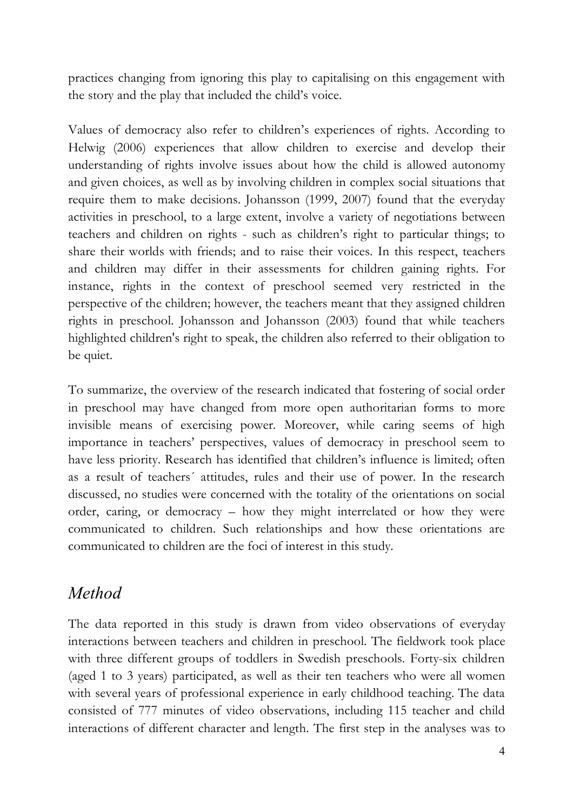practices changing from ignoring this play to capitalising on this engagement with the story and the play that included the child's voice.

Values of democracy also refer to children's experiences of rights. According to Helwig (2006) experiences that allow children to exercise and develop their understanding of rights involve issues about how the child is allowed autonomy and given choices, as well as by involving children in complex social situations that require them to make decisions. Johansson (1999, 2007) found that the everyday activities in preschool, to a large extent, involve a variety of negotiations between teachers and children on rights - such as children's right to particular things; to share their worlds with friends; and to raise their voices. In this respect, teachers and children may differ in their assessments for children gaining rights. For instance, rights in the context of preschool seemed very restricted in the perspective of the children; however, the teachers meant that they assigned children rights in preschool. Johansson and Johansson (2003) found that while teachers highlighted children's right to speak, the children also referred to their obligation to be quiet.

To summarize, the overview of the research indicated that fostering of social order in preschool may have changed from more open authoritarian forms to more invisible means of exercising power. Moreover, while caring seems of high importance in teachers' perspectives, values of democracy in preschool seem to have less priority. Research has identified that children's influence is limited; often as a result of teachers´ attitudes, rules and their use of power. In the research discussed, no studies were concerned with the totality of the orientations on social order, caring, or democracy – how they might interrelated or how they were communicated to children. Such relationships and how these orientations are communicated to children are the foci of interest in this study.

# *Method*

The data reported in this study is drawn from video observations of everyday interactions between teachers and children in preschool. The fieldwork took place with three different groups of toddlers in Swedish preschools. Forty-six children (aged 1 to 3 years) participated, as well as their ten teachers who were all women with several years of professional experience in early childhood teaching. The data consisted of 777 minutes of video observations, including 115 teacher and child interactions of different character and length. The first step in the analyses was to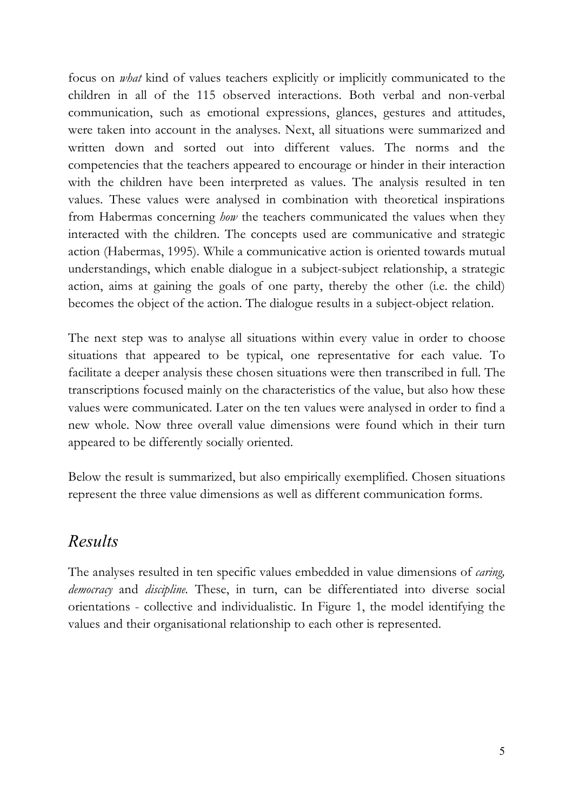focus on *what* kind of values teachers explicitly or implicitly communicated to the children in all of the 115 observed interactions. Both verbal and non-verbal communication, such as emotional expressions, glances, gestures and attitudes, were taken into account in the analyses. Next, all situations were summarized and written down and sorted out into different values. The norms and the competencies that the teachers appeared to encourage or hinder in their interaction with the children have been interpreted as values. The analysis resulted in ten values. These values were analysed in combination with theoretical inspirations from Habermas concerning *how* the teachers communicated the values when they interacted with the children. The concepts used are communicative and strategic action (Habermas, 1995). While a communicative action is oriented towards mutual understandings, which enable dialogue in a subject-subject relationship, a strategic action, aims at gaining the goals of one party, thereby the other (i.e. the child) becomes the object of the action. The dialogue results in a subject-object relation.

The next step was to analyse all situations within every value in order to choose situations that appeared to be typical, one representative for each value. To facilitate a deeper analysis these chosen situations were then transcribed in full. The transcriptions focused mainly on the characteristics of the value, but also how these values were communicated. Later on the ten values were analysed in order to find a new whole. Now three overall value dimensions were found which in their turn appeared to be differently socially oriented.

Below the result is summarized, but also empirically exemplified. Chosen situations represent the three value dimensions as well as different communication forms.

# *Results*

The analyses resulted in ten specific values embedded in value dimensions of *caring, democracy* and *discipline.* These, in turn, can be differentiated into diverse social orientations - collective and individualistic. In Figure 1, the model identifying the values and their organisational relationship to each other is represented.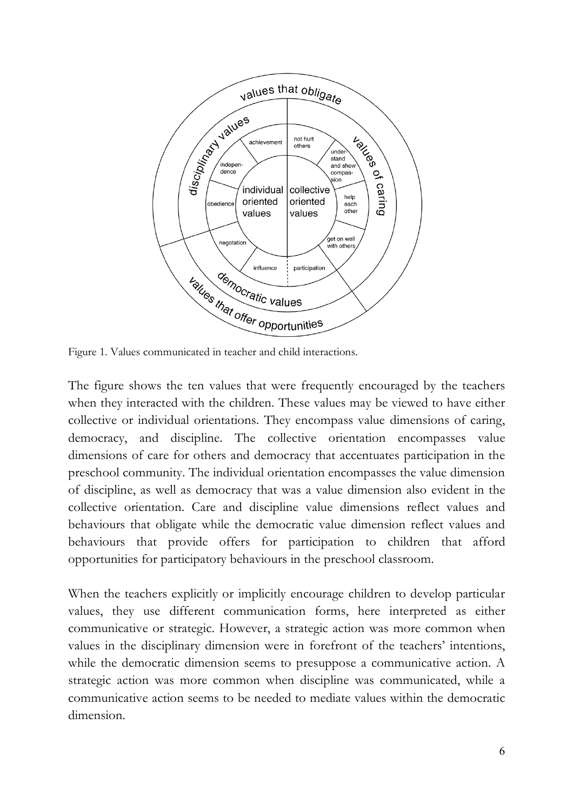

The figure shows the ten values that were frequently encouraged by the teachers when they interacted with the children. These values may be viewed to have either collective or individual orientations. They encompass value dimensions of caring, democracy, and discipline. The collective orientation encompasses value dimensions of care for others and democracy that accentuates participation in the preschool community. The individual orientation encompasses the value dimension of discipline, as well as democracy that was a value dimension also evident in the collective orientation. Care and discipline value dimensions reflect values and behaviours that obligate while the democratic value dimension reflect values and behaviours that provide offers for participation to children that afford opportunities for participatory behaviours in the preschool classroom.

When the teachers explicitly or implicitly encourage children to develop particular values, they use different communication forms, here interpreted as either communicative or strategic. However, a strategic action was more common when values in the disciplinary dimension were in forefront of the teachers' intentions, while the democratic dimension seems to presuppose a communicative action. A strategic action was more common when discipline was communicated, while a communicative action seems to be needed to mediate values within the democratic dimension.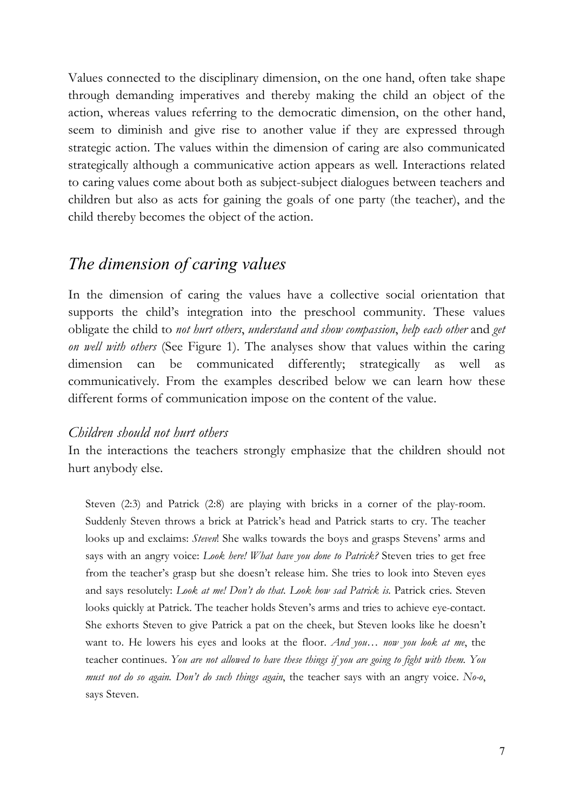Values connected to the disciplinary dimension, on the one hand, often take shape through demanding imperatives and thereby making the child an object of the action, whereas values referring to the democratic dimension, on the other hand, seem to diminish and give rise to another value if they are expressed through strategic action. The values within the dimension of caring are also communicated strategically although a communicative action appears as well. Interactions related to caring values come about both as subject-subject dialogues between teachers and children but also as acts for gaining the goals of one party (the teacher), and the child thereby becomes the object of the action.

# *The dimension of caring values*

In the dimension of caring the values have a collective social orientation that supports the child's integration into the preschool community. These values obligate the child to *not hurt others*, *understand and show compassion*, *help each other* and *get on well with others* (See Figure 1). The analyses show that values within the caring dimension can be communicated differently; strategically as well as communicatively. From the examples described below we can learn how these different forms of communication impose on the content of the value.

### *Children should not hurt others*

In the interactions the teachers strongly emphasize that the children should not hurt anybody else.

Steven (2:3) and Patrick (2:8) are playing with bricks in a corner of the play-room. Suddenly Steven throws a brick at Patrick's head and Patrick starts to cry. The teacher looks up and exclaims: *Steven*! She walks towards the boys and grasps Stevens' arms and says with an angry voice: *Look here! What have you done to Patrick?* Steven tries to get free from the teacher's grasp but she doesn't release him. She tries to look into Steven eyes and says resolutely: *Look at me! Don't do that. Look how sad Patrick is.* Patrick cries. Steven looks quickly at Patrick. The teacher holds Steven's arms and tries to achieve eye-contact. She exhorts Steven to give Patrick a pat on the cheek, but Steven looks like he doesn't want to. He lowers his eyes and looks at the floor. *And you… now you look at me*, the teacher continues. *You are not allowed to have these things if you are going to fight with them. You must not do so again. Don't do such things again*, the teacher says with an angry voice. *No-o*, says Steven.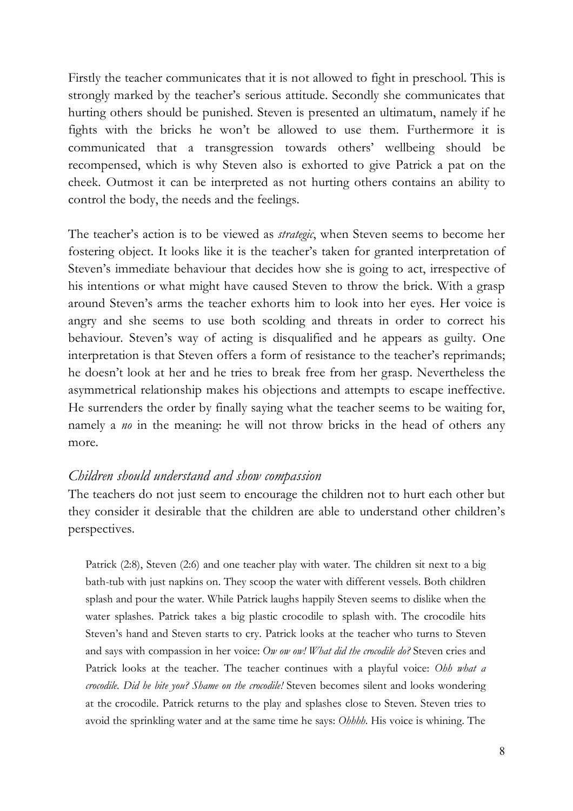Firstly the teacher communicates that it is not allowed to fight in preschool. This is strongly marked by the teacher's serious attitude. Secondly she communicates that hurting others should be punished. Steven is presented an ultimatum, namely if he fights with the bricks he won't be allowed to use them. Furthermore it is communicated that a transgression towards others' wellbeing should be recompensed, which is why Steven also is exhorted to give Patrick a pat on the cheek. Outmost it can be interpreted as not hurting others contains an ability to control the body, the needs and the feelings.

The teacher's action is to be viewed as *strategic*, when Steven seems to become her fostering object. It looks like it is the teacher's taken for granted interpretation of Steven's immediate behaviour that decides how she is going to act, irrespective of his intentions or what might have caused Steven to throw the brick. With a grasp around Steven's arms the teacher exhorts him to look into her eyes. Her voice is angry and she seems to use both scolding and threats in order to correct his behaviour. Steven's way of acting is disqualified and he appears as guilty. One interpretation is that Steven offers a form of resistance to the teacher's reprimands; he doesn't look at her and he tries to break free from her grasp. Nevertheless the asymmetrical relationship makes his objections and attempts to escape ineffective. He surrenders the order by finally saying what the teacher seems to be waiting for, namely a *no* in the meaning: he will not throw bricks in the head of others any more.

#### *Children should understand and show compassion*

The teachers do not just seem to encourage the children not to hurt each other but they consider it desirable that the children are able to understand other children's perspectives.

Patrick (2:8), Steven (2:6) and one teacher play with water. The children sit next to a big bath-tub with just napkins on. They scoop the water with different vessels. Both children splash and pour the water. While Patrick laughs happily Steven seems to dislike when the water splashes. Patrick takes a big plastic crocodile to splash with. The crocodile hits Steven's hand and Steven starts to cry. Patrick looks at the teacher who turns to Steven and says with compassion in her voice: *Ow ow ow! What did the crocodile do?* Steven cries and Patrick looks at the teacher. The teacher continues with a playful voice: *Ohh what a crocodile. Did he bite you? Shame on the crocodile!* Steven becomes silent and looks wondering at the crocodile. Patrick returns to the play and splashes close to Steven. Steven tries to avoid the sprinkling water and at the same time he says: *Ohhhh*. His voice is whining. The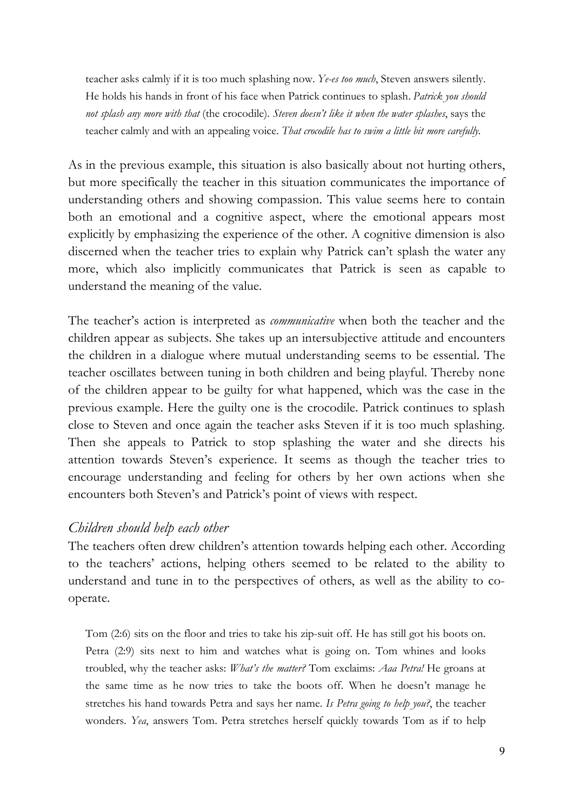teacher asks calmly if it is too much splashing now. *Ye-es too much*, Steven answers silently. He holds his hands in front of his face when Patrick continues to splash. *Patrick you should not splash any more with that* (the crocodile)*. Steven doesn't like it when the water splashes*, says the teacher calmly and with an appealing voice. *That crocodile has to swim a little bit more carefully.*

As in the previous example, this situation is also basically about not hurting others, but more specifically the teacher in this situation communicates the importance of understanding others and showing compassion. This value seems here to contain both an emotional and a cognitive aspect, where the emotional appears most explicitly by emphasizing the experience of the other. A cognitive dimension is also discerned when the teacher tries to explain why Patrick can't splash the water any more, which also implicitly communicates that Patrick is seen as capable to understand the meaning of the value.

The teacher's action is interpreted as *communicative* when both the teacher and the children appear as subjects. She takes up an intersubjective attitude and encounters the children in a dialogue where mutual understanding seems to be essential. The teacher oscillates between tuning in both children and being playful. Thereby none of the children appear to be guilty for what happened, which was the case in the previous example. Here the guilty one is the crocodile. Patrick continues to splash close to Steven and once again the teacher asks Steven if it is too much splashing. Then she appeals to Patrick to stop splashing the water and she directs his attention towards Steven's experience. It seems as though the teacher tries to encourage understanding and feeling for others by her own actions when she encounters both Steven's and Patrick's point of views with respect.

## *Children should help each other*

The teachers often drew children's attention towards helping each other. According to the teachers' actions, helping others seemed to be related to the ability to understand and tune in to the perspectives of others, as well as the ability to cooperate.

Tom (2:6) sits on the floor and tries to take his zip-suit off. He has still got his boots on. Petra (2:9) sits next to him and watches what is going on. Tom whines and looks troubled, why the teacher asks: *What's the matter?* Tom exclaims: *Aaa Petra!* He groans at the same time as he now tries to take the boots off. When he doesn't manage he stretches his hand towards Petra and says her name. *Is Petra going to help you?*, the teacher wonders. *Yea*, answers Tom. Petra stretches herself quickly towards Tom as if to help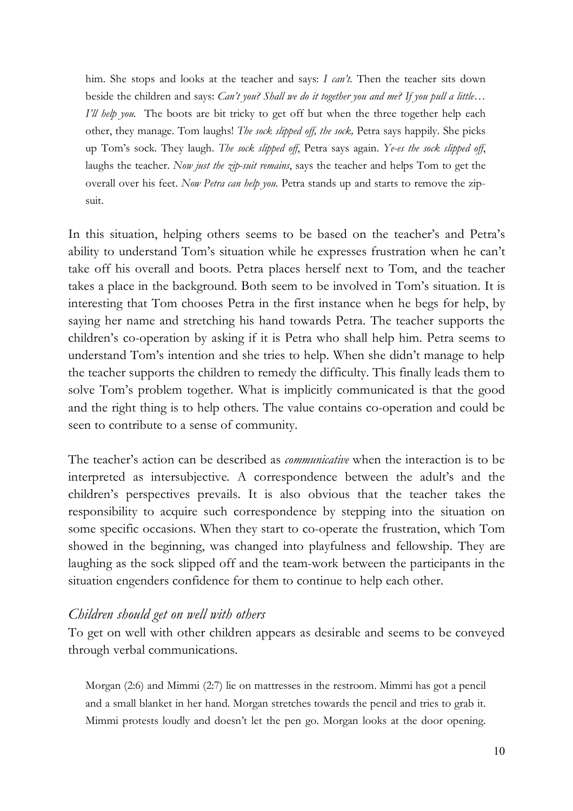him. She stops and looks at the teacher and says: *I can't.* Then the teacher sits down beside the children and says: *Can't you? Shall we do it together you and me? If you pull a little… I'll help you.* The boots are bit tricky to get off but when the three together help each other, they manage. Tom laughs! *The sock slipped off, the sock,* Petra says happily. She picks up Tom's sock. They laugh. *The sock slipped off*, Petra says again. *Ye-es the sock slipped off*, laughs the teacher. *Now just the zip-suit remains*, says the teacher and helps Tom to get the overall over his feet. *Now Petra can help you*. Petra stands up and starts to remove the zipsuit.

In this situation, helping others seems to be based on the teacher's and Petra's ability to understand Tom's situation while he expresses frustration when he can't take off his overall and boots. Petra places herself next to Tom, and the teacher takes a place in the background. Both seem to be involved in Tom's situation. It is interesting that Tom chooses Petra in the first instance when he begs for help, by saying her name and stretching his hand towards Petra. The teacher supports the children's co-operation by asking if it is Petra who shall help him. Petra seems to understand Tom's intention and she tries to help. When she didn't manage to help the teacher supports the children to remedy the difficulty. This finally leads them to solve Tom's problem together. What is implicitly communicated is that the good and the right thing is to help others. The value contains co-operation and could be seen to contribute to a sense of community.

The teacher's action can be described as *communicative* when the interaction is to be interpreted as intersubjective. A correspondence between the adult's and the children's perspectives prevails. It is also obvious that the teacher takes the responsibility to acquire such correspondence by stepping into the situation on some specific occasions. When they start to co-operate the frustration, which Tom showed in the beginning, was changed into playfulness and fellowship. They are laughing as the sock slipped off and the team-work between the participants in the situation engenders confidence for them to continue to help each other.

### *Children should get on well with others*

To get on well with other children appears as desirable and seems to be conveyed through verbal communications.

Morgan (2:6) and Mimmi (2:7) lie on mattresses in the restroom. Mimmi has got a pencil and a small blanket in her hand. Morgan stretches towards the pencil and tries to grab it. Mimmi protests loudly and doesn't let the pen go. Morgan looks at the door opening.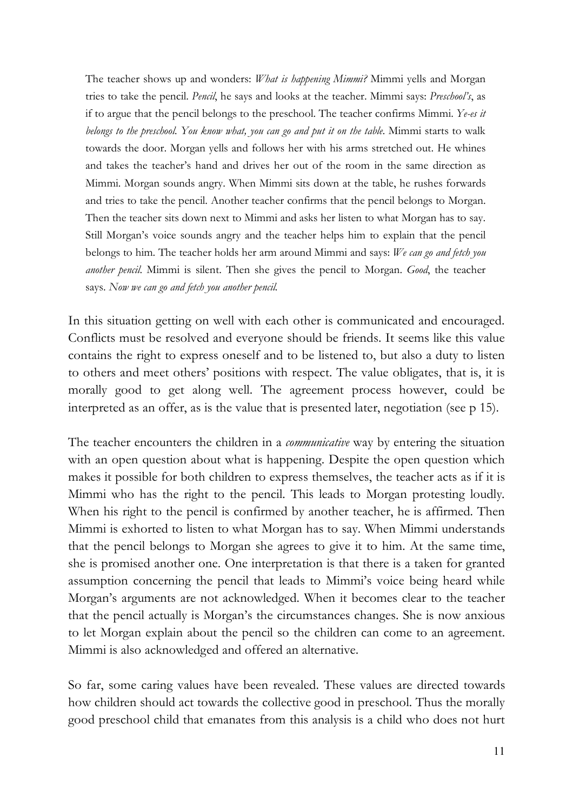The teacher shows up and wonders: *What is happening Mimmi?* Mimmi yells and Morgan tries to take the pencil. *Pencil*, he says and looks at the teacher. Mimmi says: *Preschool's*, as if to argue that the pencil belongs to the preschool. The teacher confirms Mimmi. *Ye-es it belongs to the preschool. You know what, you can go and put it on the table.* Mimmi starts to walk towards the door. Morgan yells and follows her with his arms stretched out. He whines and takes the teacher's hand and drives her out of the room in the same direction as Mimmi. Morgan sounds angry. When Mimmi sits down at the table, he rushes forwards and tries to take the pencil. Another teacher confirms that the pencil belongs to Morgan. Then the teacher sits down next to Mimmi and asks her listen to what Morgan has to say. Still Morgan's voice sounds angry and the teacher helps him to explain that the pencil belongs to him. The teacher holds her arm around Mimmi and says: *We can go and fetch you another pencil*. Mimmi is silent. Then she gives the pencil to Morgan. *Good*, the teacher says. *Now we can go and fetch you another pencil.*

In this situation getting on well with each other is communicated and encouraged. Conflicts must be resolved and everyone should be friends. It seems like this value contains the right to express oneself and to be listened to, but also a duty to listen to others and meet others' positions with respect. The value obligates, that is, it is morally good to get along well. The agreement process however, could be interpreted as an offer, as is the value that is presented later, negotiation (see p 15).

The teacher encounters the children in a *communicative* way by entering the situation with an open question about what is happening. Despite the open question which makes it possible for both children to express themselves, the teacher acts as if it is Mimmi who has the right to the pencil. This leads to Morgan protesting loudly. When his right to the pencil is confirmed by another teacher, he is affirmed. Then Mimmi is exhorted to listen to what Morgan has to say. When Mimmi understands that the pencil belongs to Morgan she agrees to give it to him. At the same time, she is promised another one. One interpretation is that there is a taken for granted assumption concerning the pencil that leads to Mimmi's voice being heard while Morgan's arguments are not acknowledged. When it becomes clear to the teacher that the pencil actually is Morgan's the circumstances changes. She is now anxious to let Morgan explain about the pencil so the children can come to an agreement. Mimmi is also acknowledged and offered an alternative.

So far, some caring values have been revealed. These values are directed towards how children should act towards the collective good in preschool. Thus the morally good preschool child that emanates from this analysis is a child who does not hurt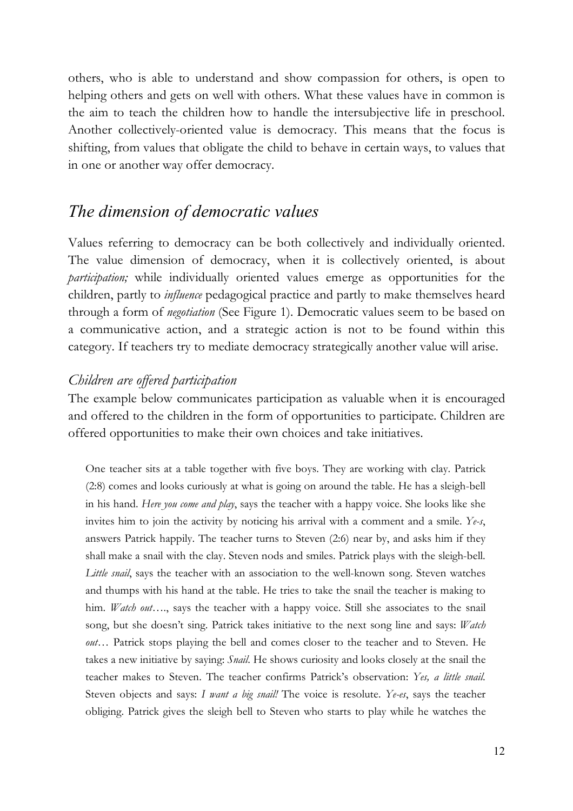others, who is able to understand and show compassion for others, is open to helping others and gets on well with others. What these values have in common is the aim to teach the children how to handle the intersubjective life in preschool. Another collectively-oriented value is democracy. This means that the focus is shifting, from values that obligate the child to behave in certain ways, to values that in one or another way offer democracy.

# *The dimension of democratic values*

Values referring to democracy can be both collectively and individually oriented. The value dimension of democracy, when it is collectively oriented, is about *participation;* while individually oriented values emerge as opportunities for the children, partly to *influence* pedagogical practice and partly to make themselves heard through a form of *negotiation* (See Figure 1). Democratic values seem to be based on a communicative action, and a strategic action is not to be found within this category. If teachers try to mediate democracy strategically another value will arise.

## *Children are offered participation*

The example below communicates participation as valuable when it is encouraged and offered to the children in the form of opportunities to participate. Children are offered opportunities to make their own choices and take initiatives.

One teacher sits at a table together with five boys. They are working with clay. Patrick (2:8) comes and looks curiously at what is going on around the table. He has a sleigh-bell in his hand. *Here you come and play*, says the teacher with a happy voice. She looks like she invites him to join the activity by noticing his arrival with a comment and a smile. *Ye-s*, answers Patrick happily. The teacher turns to Steven (2:6) near by, and asks him if they shall make a snail with the clay. Steven nods and smiles. Patrick plays with the sleigh-bell. *Little snail*, says the teacher with an association to the well-known song. Steven watches and thumps with his hand at the table. He tries to take the snail the teacher is making to him. *Watch out*…., says the teacher with a happy voice. Still she associates to the snail song, but she doesn't sing. Patrick takes initiative to the next song line and says: *Watch out…* Patrick stops playing the bell and comes closer to the teacher and to Steven. He takes a new initiative by saying: *Snail*. He shows curiosity and looks closely at the snail the teacher makes to Steven. The teacher confirms Patrick's observation: *Yes, a little snail*. Steven objects and says: *I want a big snail!* The voice is resolute. *Ye-es*, says the teacher obliging. Patrick gives the sleigh bell to Steven who starts to play while he watches the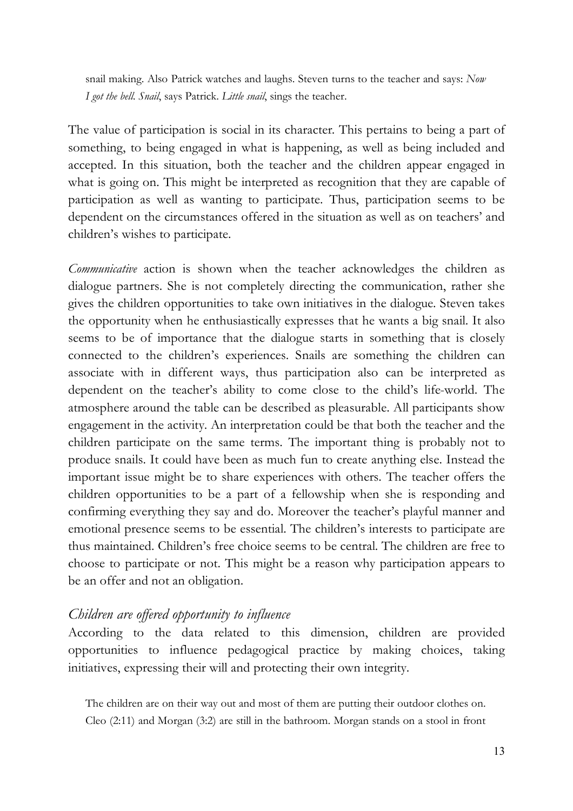snail making. Also Patrick watches and laughs. Steven turns to the teacher and says: *Now I got the bell. Snail*, says Patrick. *Little snail*, sings the teacher.

The value of participation is social in its character. This pertains to being a part of something, to being engaged in what is happening, as well as being included and accepted. In this situation, both the teacher and the children appear engaged in what is going on. This might be interpreted as recognition that they are capable of participation as well as wanting to participate. Thus, participation seems to be dependent on the circumstances offered in the situation as well as on teachers' and children's wishes to participate.

*Communicative* action is shown when the teacher acknowledges the children as dialogue partners. She is not completely directing the communication, rather she gives the children opportunities to take own initiatives in the dialogue. Steven takes the opportunity when he enthusiastically expresses that he wants a big snail. It also seems to be of importance that the dialogue starts in something that is closely connected to the children's experiences. Snails are something the children can associate with in different ways, thus participation also can be interpreted as dependent on the teacher's ability to come close to the child's life-world. The atmosphere around the table can be described as pleasurable. All participants show engagement in the activity. An interpretation could be that both the teacher and the children participate on the same terms. The important thing is probably not to produce snails. It could have been as much fun to create anything else. Instead the important issue might be to share experiences with others. The teacher offers the children opportunities to be a part of a fellowship when she is responding and confirming everything they say and do. Moreover the teacher's playful manner and emotional presence seems to be essential. The children's interests to participate are thus maintained. Children's free choice seems to be central. The children are free to choose to participate or not. This might be a reason why participation appears to be an offer and not an obligation.

## *Children are offered opportunity to influence*

According to the data related to this dimension, children are provided opportunities to influence pedagogical practice by making choices, taking initiatives, expressing their will and protecting their own integrity.

The children are on their way out and most of them are putting their outdoor clothes on. Cleo (2:11) and Morgan (3:2) are still in the bathroom. Morgan stands on a stool in front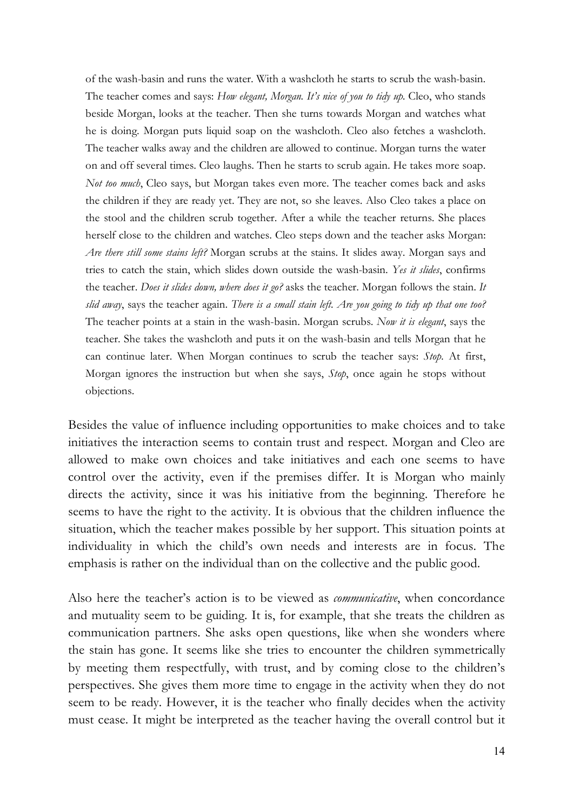of the wash-basin and runs the water. With a washcloth he starts to scrub the wash-basin. The teacher comes and says: *How elegant, Morgan. It's nice of you to tidy up*. Cleo, who stands beside Morgan, looks at the teacher. Then she turns towards Morgan and watches what he is doing. Morgan puts liquid soap on the washcloth. Cleo also fetches a washcloth. The teacher walks away and the children are allowed to continue. Morgan turns the water on and off several times. Cleo laughs. Then he starts to scrub again. He takes more soap. *Not too much*, Cleo says, but Morgan takes even more. The teacher comes back and asks the children if they are ready yet. They are not, so she leaves. Also Cleo takes a place on the stool and the children scrub together. After a while the teacher returns. She places herself close to the children and watches. Cleo steps down and the teacher asks Morgan: *Are there still some stains left?* Morgan scrubs at the stains. It slides away. Morgan says and tries to catch the stain, which slides down outside the wash-basin. *Yes it slides*, confirms the teacher. *Does it slides down, where does it go?* asks the teacher. Morgan follows the stain. *It slid away*, says the teacher again. *There is a small stain left. Are you going to tidy up that one too?* The teacher points at a stain in the wash-basin. Morgan scrubs. *Now it is elegant*, says the teacher. She takes the washcloth and puts it on the wash-basin and tells Morgan that he can continue later. When Morgan continues to scrub the teacher says: *Stop*. At first, Morgan ignores the instruction but when she says, *Stop*, once again he stops without objections.

Besides the value of influence including opportunities to make choices and to take initiatives the interaction seems to contain trust and respect. Morgan and Cleo are allowed to make own choices and take initiatives and each one seems to have control over the activity, even if the premises differ. It is Morgan who mainly directs the activity, since it was his initiative from the beginning. Therefore he seems to have the right to the activity. It is obvious that the children influence the situation, which the teacher makes possible by her support. This situation points at individuality in which the child's own needs and interests are in focus. The emphasis is rather on the individual than on the collective and the public good.

Also here the teacher's action is to be viewed as *communicative*, when concordance and mutuality seem to be guiding. It is, for example, that she treats the children as communication partners. She asks open questions, like when she wonders where the stain has gone. It seems like she tries to encounter the children symmetrically by meeting them respectfully, with trust, and by coming close to the children's perspectives. She gives them more time to engage in the activity when they do not seem to be ready. However, it is the teacher who finally decides when the activity must cease. It might be interpreted as the teacher having the overall control but it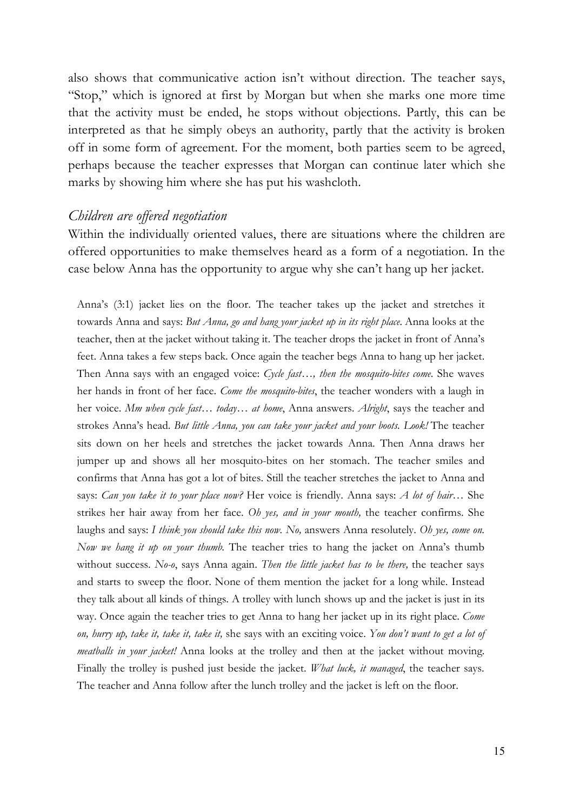also shows that communicative action isn't without direction. The teacher says, "Stop," which is ignored at first by Morgan but when she marks one more time that the activity must be ended, he stops without objections. Partly, this can be interpreted as that he simply obeys an authority, partly that the activity is broken off in some form of agreement. For the moment, both parties seem to be agreed, perhaps because the teacher expresses that Morgan can continue later which she marks by showing him where she has put his washcloth.

#### *Children are offered negotiation*

Within the individually oriented values, there are situations where the children are offered opportunities to make themselves heard as a form of a negotiation. In the case below Anna has the opportunity to argue why she can't hang up her jacket.

Anna's (3:1) jacket lies on the floor. The teacher takes up the jacket and stretches it towards Anna and says: *But Anna, go and hang your jacket up in its right place.* Anna looks at the teacher, then at the jacket without taking it. The teacher drops the jacket in front of Anna's feet. Anna takes a few steps back. Once again the teacher begs Anna to hang up her jacket. Then Anna says with an engaged voice: *Cycle fast…, then the mosquito-bites come*. She waves her hands in front of her face. *Come the mosquito-bites*, the teacher wonders with a laugh in her voice. *Mm when cycle fast… today… at home*, Anna answers. *Alright*, says the teacher and strokes Anna's head. *But little Anna, you can take your jacket and your boots. Look!* The teacher sits down on her heels and stretches the jacket towards Anna. Then Anna draws her jumper up and shows all her mosquito-bites on her stomach. The teacher smiles and confirms that Anna has got a lot of bites. Still the teacher stretches the jacket to Anna and says: *Can you take it to your place now?* Her voice is friendly. Anna says: *A lot of hair…* She strikes her hair away from her face. *Oh yes, and in your mouth,* the teacher confirms. She laughs and says: *I think you should take this now. No,* answers Anna resolutely. *Oh yes, come on*. *Now we hang it up on your thumb*. The teacher tries to hang the jacket on Anna's thumb without success. *No-o*, says Anna again. *Then the little jacket has to be there,* the teacher says and starts to sweep the floor. None of them mention the jacket for a long while. Instead they talk about all kinds of things. A trolley with lunch shows up and the jacket is just in its way. Once again the teacher tries to get Anna to hang her jacket up in its right place. *Come on, hurry up, take it, take it, take it,* she says with an exciting voice. *You don't want to get a lot of meatballs in your jacket!* Anna looks at the trolley and then at the jacket without moving. Finally the trolley is pushed just beside the jacket. *What luck, it managed*, the teacher says. The teacher and Anna follow after the lunch trolley and the jacket is left on the floor.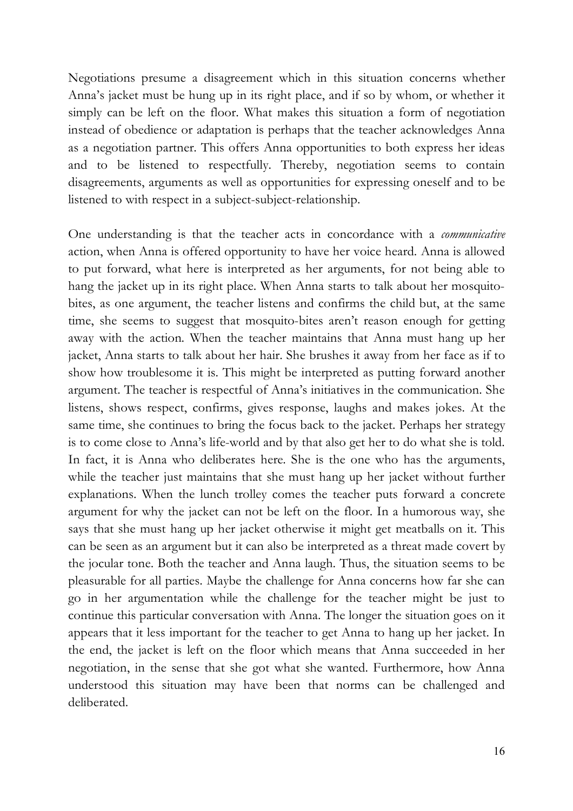Negotiations presume a disagreement which in this situation concerns whether Anna's jacket must be hung up in its right place, and if so by whom, or whether it simply can be left on the floor. What makes this situation a form of negotiation instead of obedience or adaptation is perhaps that the teacher acknowledges Anna as a negotiation partner. This offers Anna opportunities to both express her ideas and to be listened to respectfully. Thereby, negotiation seems to contain disagreements, arguments as well as opportunities for expressing oneself and to be listened to with respect in a subject-subject-relationship.

One understanding is that the teacher acts in concordance with a *communicative* action, when Anna is offered opportunity to have her voice heard. Anna is allowed to put forward, what here is interpreted as her arguments, for not being able to hang the jacket up in its right place. When Anna starts to talk about her mosquitobites, as one argument, the teacher listens and confirms the child but, at the same time, she seems to suggest that mosquito-bites aren't reason enough for getting away with the action. When the teacher maintains that Anna must hang up her jacket, Anna starts to talk about her hair. She brushes it away from her face as if to show how troublesome it is. This might be interpreted as putting forward another argument. The teacher is respectful of Anna's initiatives in the communication. She listens, shows respect, confirms, gives response, laughs and makes jokes. At the same time, she continues to bring the focus back to the jacket. Perhaps her strategy is to come close to Anna's life-world and by that also get her to do what she is told. In fact, it is Anna who deliberates here. She is the one who has the arguments, while the teacher just maintains that she must hang up her jacket without further explanations. When the lunch trolley comes the teacher puts forward a concrete argument for why the jacket can not be left on the floor. In a humorous way, she says that she must hang up her jacket otherwise it might get meatballs on it. This can be seen as an argument but it can also be interpreted as a threat made covert by the jocular tone. Both the teacher and Anna laugh. Thus, the situation seems to be pleasurable for all parties. Maybe the challenge for Anna concerns how far she can go in her argumentation while the challenge for the teacher might be just to continue this particular conversation with Anna. The longer the situation goes on it appears that it less important for the teacher to get Anna to hang up her jacket. In the end, the jacket is left on the floor which means that Anna succeeded in her negotiation, in the sense that she got what she wanted. Furthermore, how Anna understood this situation may have been that norms can be challenged and deliberated.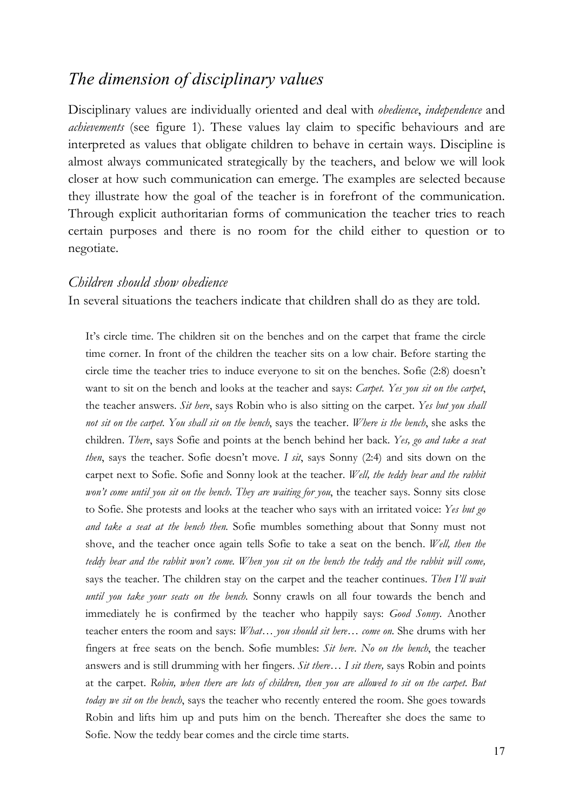# *The dimension of disciplinary values*

Disciplinary values are individually oriented and deal with *obedience*, *independence* and *achievements* (see figure 1). These values lay claim to specific behaviours and are interpreted as values that obligate children to behave in certain ways. Discipline is almost always communicated strategically by the teachers, and below we will look closer at how such communication can emerge. The examples are selected because they illustrate how the goal of the teacher is in forefront of the communication. Through explicit authoritarian forms of communication the teacher tries to reach certain purposes and there is no room for the child either to question or to negotiate.

#### *Children should show obedience*

In several situations the teachers indicate that children shall do as they are told.

It's circle time. The children sit on the benches and on the carpet that frame the circle time corner. In front of the children the teacher sits on a low chair. Before starting the circle time the teacher tries to induce everyone to sit on the benches. Sofie (2:8) doesn't want to sit on the bench and looks at the teacher and says: *Carpet. Yes you sit on the carpet*, the teacher answers. *Sit here*, says Robin who is also sitting on the carpet. *Yes but you shall not sit on the carpet. You shall sit on the bench*, says the teacher. *Where is the bench*, she asks the children. *There*, says Sofie and points at the bench behind her back. *Yes, go and take a seat then*, says the teacher. Sofie doesn't move. *I sit*, says Sonny (2:4) and sits down on the carpet next to Sofie. Sofie and Sonny look at the teacher. *Well, the teddy bear and the rabbit won't come until you sit on the bench*. *They are waiting for you*, the teacher says. Sonny sits close to Sofie. She protests and looks at the teacher who says with an irritated voice: *Yes but go and take a seat at the bench then.* Sofie mumbles something about that Sonny must not shove, and the teacher once again tells Sofie to take a seat on the bench. *Well, then the teddy bear and the rabbit won't come*. *When you sit on the bench the teddy and the rabbit will come,* says the teacher. The children stay on the carpet and the teacher continues. *Then I'll wait until you take your seats on the bench.* Sonny crawls on all four towards the bench and immediately he is confirmed by the teacher who happily says: *Good Sonny*. Another teacher enters the room and says: *What… you should sit here… come on*. She drums with her fingers at free seats on the bench. Sofie mumbles: *Sit here*. *No on the bench*, the teacher answers and is still drumming with her fingers. *Sit there… I sit there,* says Robin and points at the carpet. *Robin, when there are lots of children, then you are allowed to sit on the carpet. But today we sit on the bench*, says the teacher who recently entered the room. She goes towards Robin and lifts him up and puts him on the bench. Thereafter she does the same to Sofie. Now the teddy bear comes and the circle time starts.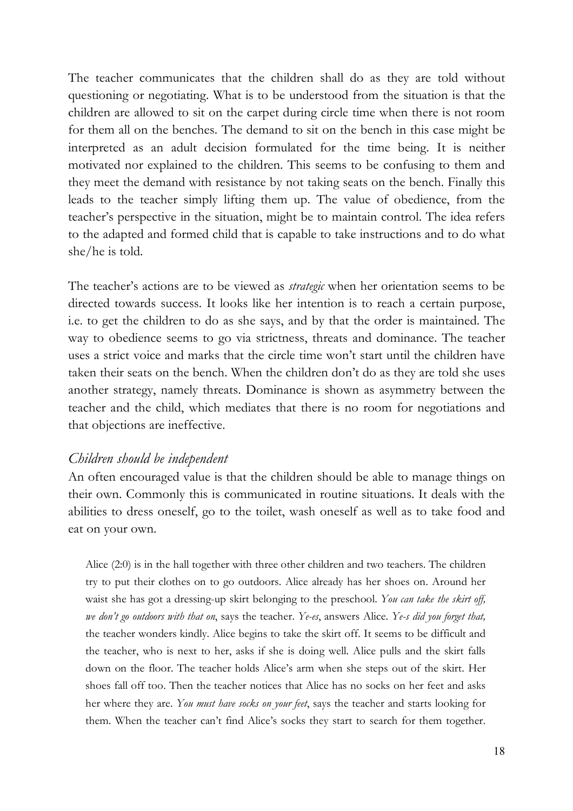The teacher communicates that the children shall do as they are told without questioning or negotiating. What is to be understood from the situation is that the children are allowed to sit on the carpet during circle time when there is not room for them all on the benches. The demand to sit on the bench in this case might be interpreted as an adult decision formulated for the time being. It is neither motivated nor explained to the children. This seems to be confusing to them and they meet the demand with resistance by not taking seats on the bench. Finally this leads to the teacher simply lifting them up. The value of obedience, from the teacher's perspective in the situation, might be to maintain control. The idea refers to the adapted and formed child that is capable to take instructions and to do what she/he is told.

The teacher's actions are to be viewed as *strategic* when her orientation seems to be directed towards success. It looks like her intention is to reach a certain purpose, i.e. to get the children to do as she says, and by that the order is maintained. The way to obedience seems to go via strictness, threats and dominance. The teacher uses a strict voice and marks that the circle time won't start until the children have taken their seats on the bench. When the children don't do as they are told she uses another strategy, namely threats. Dominance is shown as asymmetry between the teacher and the child, which mediates that there is no room for negotiations and that objections are ineffective.

### *Children should be independent*

An often encouraged value is that the children should be able to manage things on their own. Commonly this is communicated in routine situations. It deals with the abilities to dress oneself, go to the toilet, wash oneself as well as to take food and eat on your own.

Alice (2:0) is in the hall together with three other children and two teachers. The children try to put their clothes on to go outdoors. Alice already has her shoes on. Around her waist she has got a dressing-up skirt belonging to the preschool. *You can take the skirt off, we don't go outdoors with that on*, says the teacher. *Ye-es*, answers Alice. *Ye-s did you forget that,* the teacher wonders kindly. Alice begins to take the skirt off. It seems to be difficult and the teacher, who is next to her, asks if she is doing well. Alice pulls and the skirt falls down on the floor. The teacher holds Alice's arm when she steps out of the skirt. Her shoes fall off too. Then the teacher notices that Alice has no socks on her feet and asks her where they are. *You must have socks on your feet*, says the teacher and starts looking for them. When the teacher can't find Alice's socks they start to search for them together.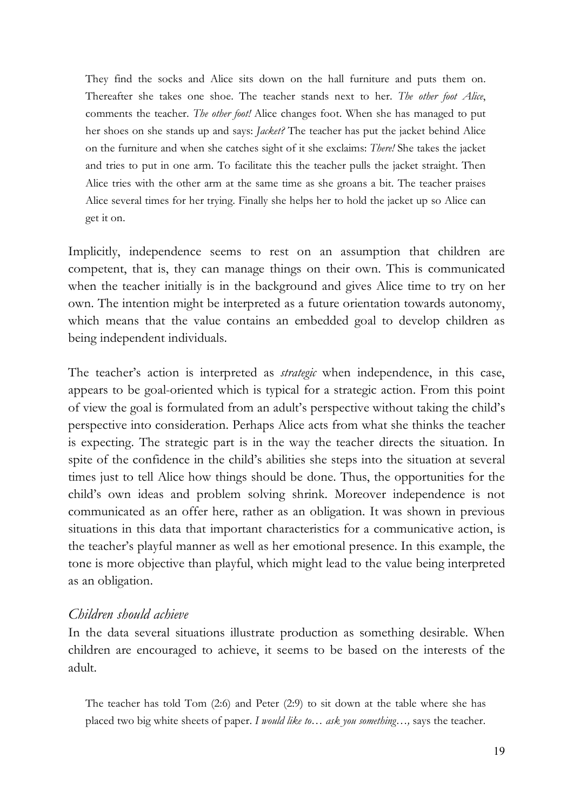They find the socks and Alice sits down on the hall furniture and puts them on. Thereafter she takes one shoe. The teacher stands next to her. *The other foot Alice*, comments the teacher. *The other foot!* Alice changes foot. When she has managed to put her shoes on she stands up and says: *Jacket?* The teacher has put the jacket behind Alice on the furniture and when she catches sight of it she exclaims: *There!* She takes the jacket and tries to put in one arm. To facilitate this the teacher pulls the jacket straight. Then Alice tries with the other arm at the same time as she groans a bit. The teacher praises Alice several times for her trying. Finally she helps her to hold the jacket up so Alice can get it on.

Implicitly, independence seems to rest on an assumption that children are competent, that is, they can manage things on their own. This is communicated when the teacher initially is in the background and gives Alice time to try on her own. The intention might be interpreted as a future orientation towards autonomy, which means that the value contains an embedded goal to develop children as being independent individuals.

The teacher's action is interpreted as *strategic* when independence, in this case, appears to be goal-oriented which is typical for a strategic action. From this point of view the goal is formulated from an adult's perspective without taking the child's perspective into consideration. Perhaps Alice acts from what she thinks the teacher is expecting. The strategic part is in the way the teacher directs the situation. In spite of the confidence in the child's abilities she steps into the situation at several times just to tell Alice how things should be done. Thus, the opportunities for the child's own ideas and problem solving shrink. Moreover independence is not communicated as an offer here, rather as an obligation. It was shown in previous situations in this data that important characteristics for a communicative action, is the teacher's playful manner as well as her emotional presence. In this example, the tone is more objective than playful, which might lead to the value being interpreted as an obligation.

### *Children should achieve*

In the data several situations illustrate production as something desirable. When children are encouraged to achieve, it seems to be based on the interests of the adult.

The teacher has told Tom (2:6) and Peter (2:9) to sit down at the table where she has placed two big white sheets of paper. *I would like to… ask you something…,* says the teacher.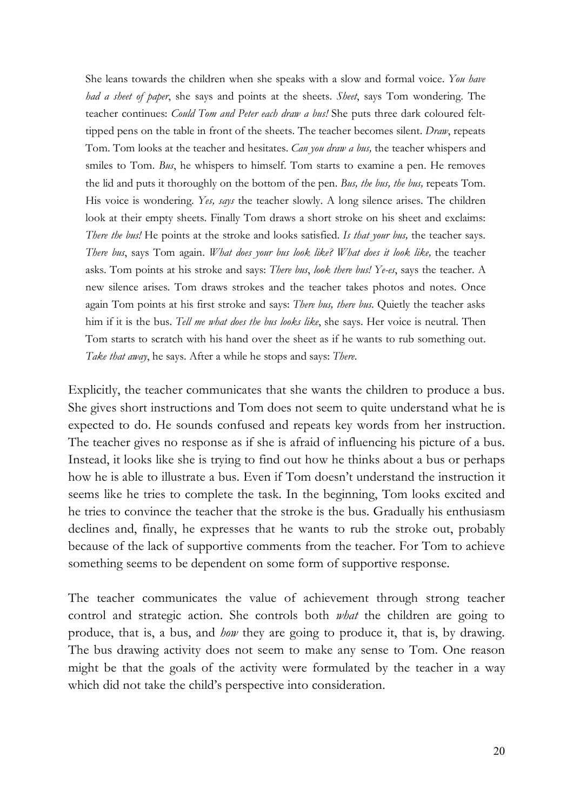She leans towards the children when she speaks with a slow and formal voice. *You have had a sheet of paper*, she says and points at the sheets. *Sheet*, says Tom wondering. The teacher continues: *Could Tom and Peter each draw a bus!* She puts three dark coloured felttipped pens on the table in front of the sheets. The teacher becomes silent. *Draw*, repeats Tom. Tom looks at the teacher and hesitates. *Can you draw a bus,* the teacher whispers and smiles to Tom. *Bus*, he whispers to himself. Tom starts to examine a pen. He removes the lid and puts it thoroughly on the bottom of the pen. *Bus, the bus, the bus,* repeats Tom. His voice is wondering. *Yes, says* the teacher slowly. A long silence arises. The children look at their empty sheets. Finally Tom draws a short stroke on his sheet and exclaims: *There the bus!* He points at the stroke and looks satisfied. *Is that your bus,* the teacher says. *There bus*, says Tom again. *What does your bus look like? What does it look like,* the teacher asks. Tom points at his stroke and says: *There bus*, *look there bus! Ye-es*, says the teacher. A new silence arises. Tom draws strokes and the teacher takes photos and notes. Once again Tom points at his first stroke and says: *There bus, there bus*. Quietly the teacher asks him if it is the bus. *Tell me what does the bus looks like*, she says. Her voice is neutral. Then Tom starts to scratch with his hand over the sheet as if he wants to rub something out. *Take that away*, he says. After a while he stops and says: *There*.

Explicitly, the teacher communicates that she wants the children to produce a bus. She gives short instructions and Tom does not seem to quite understand what he is expected to do. He sounds confused and repeats key words from her instruction. The teacher gives no response as if she is afraid of influencing his picture of a bus. Instead, it looks like she is trying to find out how he thinks about a bus or perhaps how he is able to illustrate a bus. Even if Tom doesn't understand the instruction it seems like he tries to complete the task. In the beginning, Tom looks excited and he tries to convince the teacher that the stroke is the bus. Gradually his enthusiasm declines and, finally, he expresses that he wants to rub the stroke out, probably because of the lack of supportive comments from the teacher. For Tom to achieve something seems to be dependent on some form of supportive response.

The teacher communicates the value of achievement through strong teacher control and strategic action. She controls both *what* the children are going to produce, that is, a bus, and *how* they are going to produce it, that is, by drawing. The bus drawing activity does not seem to make any sense to Tom. One reason might be that the goals of the activity were formulated by the teacher in a way which did not take the child's perspective into consideration.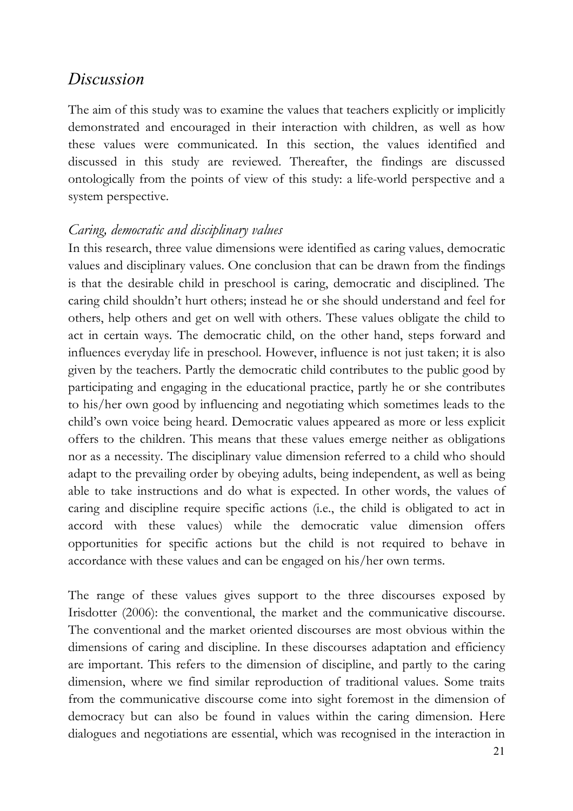## *Discussion*

The aim of this study was to examine the values that teachers explicitly or implicitly demonstrated and encouraged in their interaction with children, as well as how these values were communicated. In this section, the values identified and discussed in this study are reviewed. Thereafter, the findings are discussed ontologically from the points of view of this study: a life-world perspective and a system perspective.

### *Caring, democratic and disciplinary values*

In this research, three value dimensions were identified as caring values, democratic values and disciplinary values. One conclusion that can be drawn from the findings is that the desirable child in preschool is caring, democratic and disciplined. The caring child shouldn't hurt others; instead he or she should understand and feel for others, help others and get on well with others. These values obligate the child to act in certain ways. The democratic child, on the other hand, steps forward and influences everyday life in preschool. However, influence is not just taken; it is also given by the teachers. Partly the democratic child contributes to the public good by participating and engaging in the educational practice, partly he or she contributes to his/her own good by influencing and negotiating which sometimes leads to the child's own voice being heard. Democratic values appeared as more or less explicit offers to the children. This means that these values emerge neither as obligations nor as a necessity. The disciplinary value dimension referred to a child who should adapt to the prevailing order by obeying adults, being independent, as well as being able to take instructions and do what is expected. In other words, the values of caring and discipline require specific actions (i.e., the child is obligated to act in accord with these values) while the democratic value dimension offers opportunities for specific actions but the child is not required to behave in accordance with these values and can be engaged on his/her own terms.

The range of these values gives support to the three discourses exposed by Irisdotter (2006): the conventional, the market and the communicative discourse. The conventional and the market oriented discourses are most obvious within the dimensions of caring and discipline. In these discourses adaptation and efficiency are important. This refers to the dimension of discipline, and partly to the caring dimension, where we find similar reproduction of traditional values. Some traits from the communicative discourse come into sight foremost in the dimension of democracy but can also be found in values within the caring dimension. Here dialogues and negotiations are essential, which was recognised in the interaction in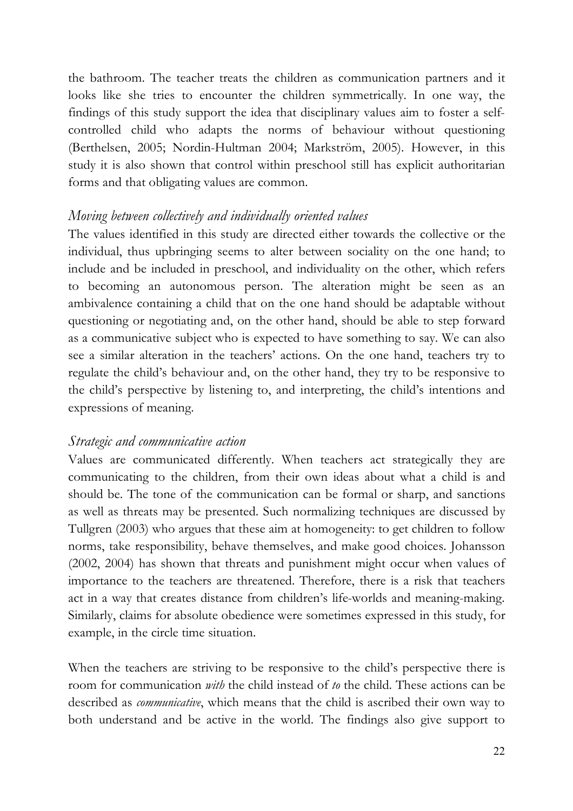the bathroom. The teacher treats the children as communication partners and it looks like she tries to encounter the children symmetrically. In one way, the findings of this study support the idea that disciplinary values aim to foster a selfcontrolled child who adapts the norms of behaviour without questioning (Berthelsen, 2005; Nordin-Hultman 2004; Markström, 2005). However, in this study it is also shown that control within preschool still has explicit authoritarian forms and that obligating values are common.

### *Moving between collectively and individually oriented values*

The values identified in this study are directed either towards the collective or the individual, thus upbringing seems to alter between sociality on the one hand; to include and be included in preschool, and individuality on the other, which refers to becoming an autonomous person. The alteration might be seen as an ambivalence containing a child that on the one hand should be adaptable without questioning or negotiating and, on the other hand, should be able to step forward as a communicative subject who is expected to have something to say. We can also see a similar alteration in the teachers' actions. On the one hand, teachers try to regulate the child's behaviour and, on the other hand, they try to be responsive to the child's perspective by listening to, and interpreting, the child's intentions and expressions of meaning.

### *Strategic and communicative action*

Values are communicated differently. When teachers act strategically they are communicating to the children, from their own ideas about what a child is and should be. The tone of the communication can be formal or sharp, and sanctions as well as threats may be presented. Such normalizing techniques are discussed by Tullgren (2003) who argues that these aim at homogeneity: to get children to follow norms, take responsibility, behave themselves, and make good choices. Johansson (2002, 2004) has shown that threats and punishment might occur when values of importance to the teachers are threatened. Therefore, there is a risk that teachers act in a way that creates distance from children's life-worlds and meaning-making. Similarly, claims for absolute obedience were sometimes expressed in this study, for example, in the circle time situation.

When the teachers are striving to be responsive to the child's perspective there is room for communication *with* the child instead of *to* the child. These actions can be described as *communicative*, which means that the child is ascribed their own way to both understand and be active in the world. The findings also give support to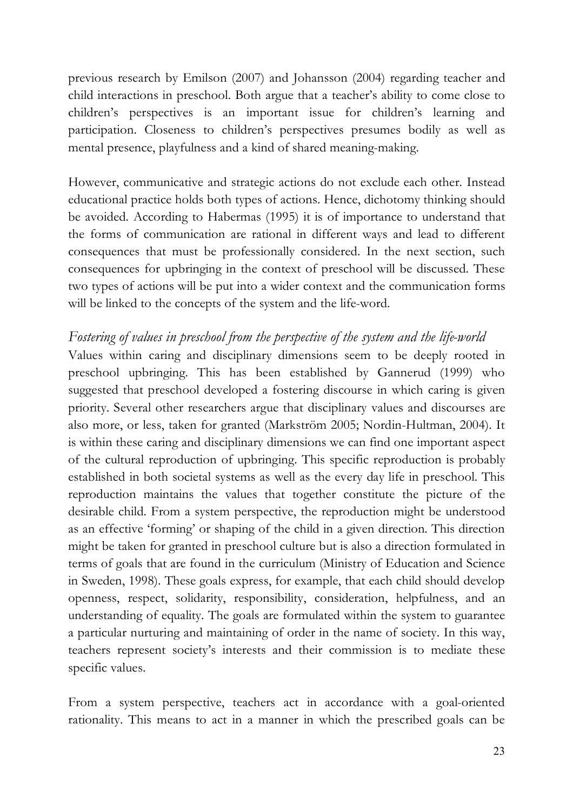previous research by Emilson (2007) and Johansson (2004) regarding teacher and child interactions in preschool. Both argue that a teacher's ability to come close to children's perspectives is an important issue for children's learning and participation. Closeness to children's perspectives presumes bodily as well as mental presence, playfulness and a kind of shared meaning-making.

However, communicative and strategic actions do not exclude each other. Instead educational practice holds both types of actions. Hence, dichotomy thinking should be avoided. According to Habermas (1995) it is of importance to understand that the forms of communication are rational in different ways and lead to different consequences that must be professionally considered. In the next section, such consequences for upbringing in the context of preschool will be discussed. These two types of actions will be put into a wider context and the communication forms will be linked to the concepts of the system and the life-word.

## *Fostering of values in preschool from the perspective of the system and the life-world*

Values within caring and disciplinary dimensions seem to be deeply rooted in preschool upbringing. This has been established by Gannerud (1999) who suggested that preschool developed a fostering discourse in which caring is given priority. Several other researchers argue that disciplinary values and discourses are also more, or less, taken for granted (Markström 2005; Nordin-Hultman, 2004). It is within these caring and disciplinary dimensions we can find one important aspect of the cultural reproduction of upbringing. This specific reproduction is probably established in both societal systems as well as the every day life in preschool. This reproduction maintains the values that together constitute the picture of the desirable child. From a system perspective, the reproduction might be understood as an effective 'forming' or shaping of the child in a given direction. This direction might be taken for granted in preschool culture but is also a direction formulated in terms of goals that are found in the curriculum (Ministry of Education and Science in Sweden, 1998). These goals express, for example, that each child should develop openness, respect, solidarity, responsibility, consideration, helpfulness, and an understanding of equality. The goals are formulated within the system to guarantee a particular nurturing and maintaining of order in the name of society. In this way, teachers represent society's interests and their commission is to mediate these specific values.

From a system perspective, teachers act in accordance with a goal-oriented rationality. This means to act in a manner in which the prescribed goals can be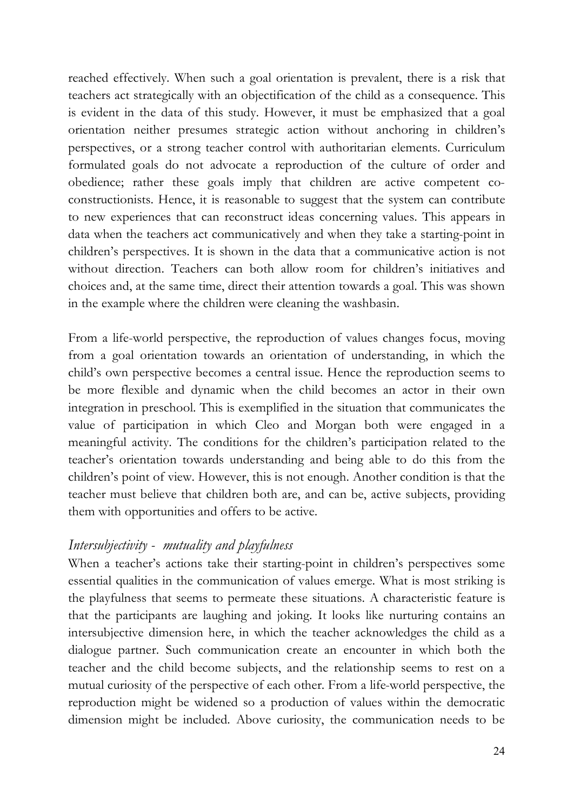reached effectively. When such a goal orientation is prevalent, there is a risk that teachers act strategically with an objectification of the child as a consequence. This is evident in the data of this study. However, it must be emphasized that a goal orientation neither presumes strategic action without anchoring in children's perspectives, or a strong teacher control with authoritarian elements. Curriculum formulated goals do not advocate a reproduction of the culture of order and obedience; rather these goals imply that children are active competent coconstructionists. Hence, it is reasonable to suggest that the system can contribute to new experiences that can reconstruct ideas concerning values. This appears in data when the teachers act communicatively and when they take a starting-point in children's perspectives. It is shown in the data that a communicative action is not without direction. Teachers can both allow room for children's initiatives and choices and, at the same time, direct their attention towards a goal. This was shown in the example where the children were cleaning the washbasin.

From a life-world perspective, the reproduction of values changes focus, moving from a goal orientation towards an orientation of understanding, in which the child's own perspective becomes a central issue. Hence the reproduction seems to be more flexible and dynamic when the child becomes an actor in their own integration in preschool. This is exemplified in the situation that communicates the value of participation in which Cleo and Morgan both were engaged in a meaningful activity. The conditions for the children's participation related to the teacher's orientation towards understanding and being able to do this from the children's point of view. However, this is not enough. Another condition is that the teacher must believe that children both are, and can be, active subjects, providing them with opportunities and offers to be active.

## *Intersubjectivity - mutuality and playfulness*

When a teacher's actions take their starting-point in children's perspectives some essential qualities in the communication of values emerge. What is most striking is the playfulness that seems to permeate these situations. A characteristic feature is that the participants are laughing and joking. It looks like nurturing contains an intersubjective dimension here, in which the teacher acknowledges the child as a dialogue partner. Such communication create an encounter in which both the teacher and the child become subjects, and the relationship seems to rest on a mutual curiosity of the perspective of each other. From a life-world perspective, the reproduction might be widened so a production of values within the democratic dimension might be included. Above curiosity, the communication needs to be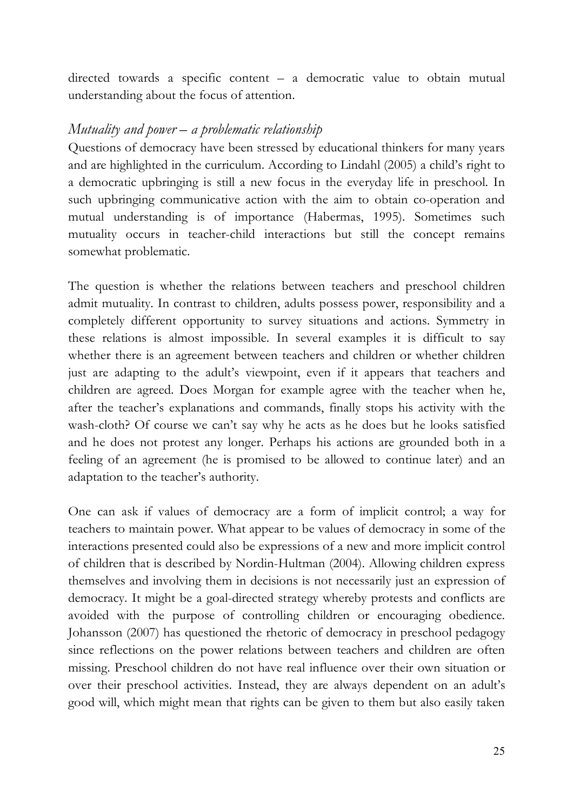directed towards a specific content – a democratic value to obtain mutual understanding about the focus of attention.

### *Mutuality and power – a problematic relationship*

Questions of democracy have been stressed by educational thinkers for many years and are highlighted in the curriculum. According to Lindahl (2005) a child's right to a democratic upbringing is still a new focus in the everyday life in preschool. In such upbringing communicative action with the aim to obtain co-operation and mutual understanding is of importance (Habermas, 1995). Sometimes such mutuality occurs in teacher-child interactions but still the concept remains somewhat problematic.

The question is whether the relations between teachers and preschool children admit mutuality. In contrast to children, adults possess power, responsibility and a completely different opportunity to survey situations and actions. Symmetry in these relations is almost impossible. In several examples it is difficult to say whether there is an agreement between teachers and children or whether children just are adapting to the adult's viewpoint, even if it appears that teachers and children are agreed. Does Morgan for example agree with the teacher when he, after the teacher's explanations and commands, finally stops his activity with the wash-cloth? Of course we can't say why he acts as he does but he looks satisfied and he does not protest any longer. Perhaps his actions are grounded both in a feeling of an agreement (he is promised to be allowed to continue later) and an adaptation to the teacher's authority.

One can ask if values of democracy are a form of implicit control; a way for teachers to maintain power. What appear to be values of democracy in some of the interactions presented could also be expressions of a new and more implicit control of children that is described by Nordin-Hultman (2004). Allowing children express themselves and involving them in decisions is not necessarily just an expression of democracy. It might be a goal-directed strategy whereby protests and conflicts are avoided with the purpose of controlling children or encouraging obedience. Johansson (2007) has questioned the rhetoric of democracy in preschool pedagogy since reflections on the power relations between teachers and children are often missing. Preschool children do not have real influence over their own situation or over their preschool activities. Instead, they are always dependent on an adult's good will, which might mean that rights can be given to them but also easily taken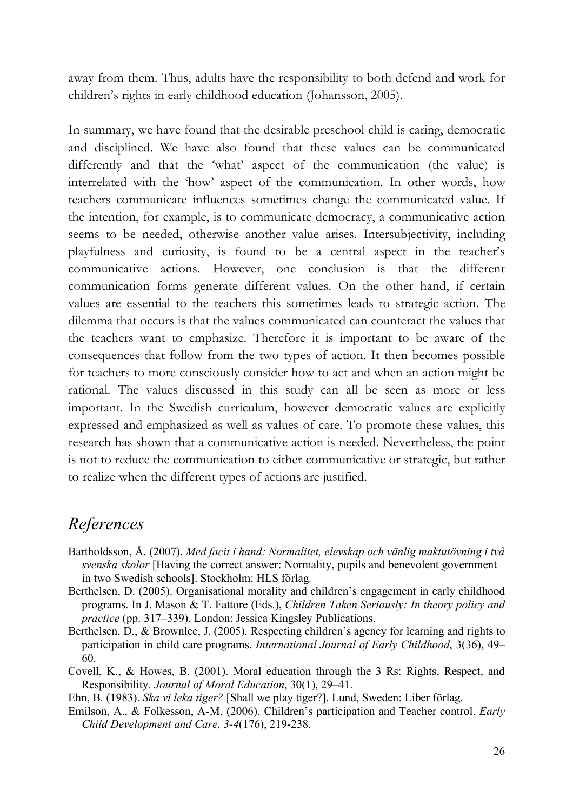away from them. Thus, adults have the responsibility to both defend and work for children's rights in early childhood education (Johansson, 2005).

In summary, we have found that the desirable preschool child is caring, democratic and disciplined. We have also found that these values can be communicated differently and that the 'what' aspect of the communication (the value) is interrelated with the 'how' aspect of the communication. In other words, how teachers communicate influences sometimes change the communicated value. If the intention, for example, is to communicate democracy, a communicative action seems to be needed, otherwise another value arises. Intersubjectivity, including playfulness and curiosity, is found to be a central aspect in the teacher's communicative actions. However, one conclusion is that the different communication forms generate different values. On the other hand, if certain values are essential to the teachers this sometimes leads to strategic action. The dilemma that occurs is that the values communicated can counteract the values that the teachers want to emphasize. Therefore it is important to be aware of the consequences that follow from the two types of action. It then becomes possible for teachers to more consciously consider how to act and when an action might be rational. The values discussed in this study can all be seen as more or less important. In the Swedish curriculum, however democratic values are explicitly expressed and emphasized as well as values of care. To promote these values, this research has shown that a communicative action is needed. Nevertheless, the point is not to reduce the communication to either communicative or strategic, but rather to realize when the different types of actions are justified.

# *References*

- Bartholdsson, Å. (2007). *Med facit i hand: Normalitet, elevskap och vänlig maktutövning i två svenska skolor* [Having the correct answer: Normality, pupils and benevolent government in two Swedish schools]. Stockholm: HLS förlag.
- Berthelsen, D. (2005). Organisational morality and children's engagement in early childhood programs. In J. Mason & T. Fattore (Eds.), *Children Taken Seriously: In theory policy and practice* (pp. 317–339). London: Jessica Kingsley Publications.
- Berthelsen, D., & Brownlee, J. (2005). Respecting children's agency for learning and rights to participation in child care programs. *International Journal of Early Childhood*, 3(36), 49– 60.
- Covell, K., & Howes, B. (2001). Moral education through the 3 Rs: Rights, Respect, and Responsibility. *Journal of Moral Education*, 30(1), 29–41.
- Ehn, B. (1983). *Ska vi leka tiger?* [Shall we play tiger?]. Lund, Sweden: Liber förlag.
- Emilson, A., & Folkesson, A-M. (2006). Children's participation and Teacher control. *Early Child Development and Care, 3-4*(176), 219-238.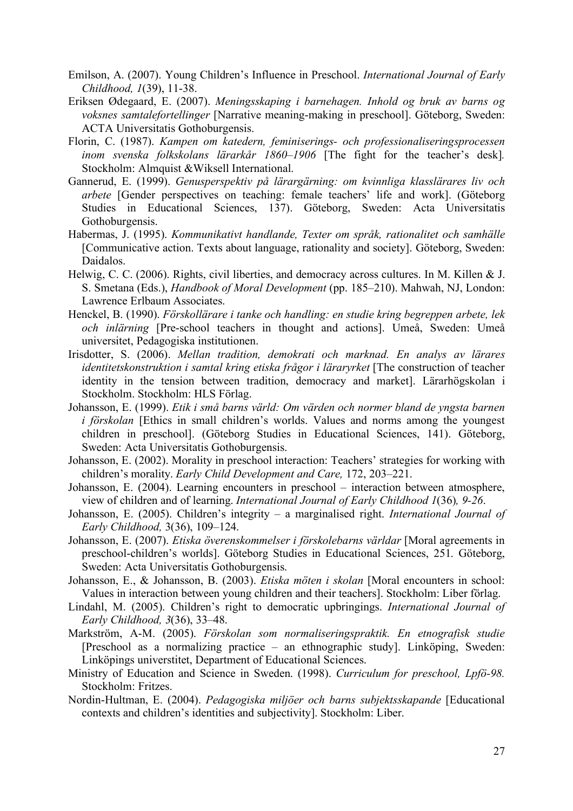- Emilson, A. (2007). Young Children's Influence in Preschool. *International Journal of Early Childhood, 1*(39), 11-38.
- Eriksen Ødegaard, E. (2007). *Meningsskaping i barnehagen. Inhold og bruk av barns og voksnes samtalefortellinger* [Narrative meaning-making in preschool]. Göteborg, Sweden: ACTA Universitatis Gothoburgensis.
- Florin, C. (1987). *Kampen om katedern, feminiserings- och professionaliseringsprocessen inom svenska folkskolans lärarkår 1860–1906* [The fight for the teacher's desk]*.* Stockholm: Almquist &Wiksell International.
- Gannerud, E. (1999). *Genusperspektiv på lärargärning: om kvinnliga klasslärares liv och arbete* [Gender perspectives on teaching: female teachers' life and work]. (Göteborg Studies in Educational Sciences, 137). Göteborg, Sweden: Acta Universitatis Gothoburgensis.
- Habermas, J. (1995). *Kommunikativt handlande, Texter om språk, rationalitet och samhälle* [Communicative action. Texts about language, rationality and society]. Göteborg, Sweden: Daidalos.
- Helwig, C. C. (2006). Rights, civil liberties, and democracy across cultures. In M. Killen & J. S. Smetana (Eds.), *Handbook of Moral Development* (pp. 185–210). Mahwah, NJ, London: Lawrence Erlbaum Associates.
- Henckel, B. (1990). *Förskollärare i tanke och handling: en studie kring begreppen arbete, lek och inlärning* [Pre-school teachers in thought and actions]. Umeå, Sweden: Umeå universitet, Pedagogiska institutionen.
- Irisdotter, S. (2006). *Mellan tradition, demokrati och marknad. En analys av lärares identitetskonstruktion i samtal kring etiska frågor i läraryrket* [The construction of teacher identity in the tension between tradition, democracy and market]. Lärarhögskolan i Stockholm. Stockholm: HLS Förlag.
- Johansson, E. (1999). *Etik i små barns värld: Om värden och normer bland de yngsta barnen i förskolan* [Ethics in small children's worlds. Values and norms among the youngest children in preschool]. (Göteborg Studies in Educational Sciences, 141). Göteborg, Sweden: Acta Universitatis Gothoburgensis.
- Johansson, E. (2002). Morality in preschool interaction: Teachers' strategies for working with children's morality. *Early Child Development and Care,* 172, 203–221.
- Johansson, E. (2004). Learning encounters in preschool interaction between atmosphere, view of children and of learning. *International Journal of Early Childhood 1*(36)*, 9-26*.
- Johansson, E. (2005). Children's integrity a marginalised right. *International Journal of Early Childhood,* 3(36), 109–124.
- Johansson, E. (2007). *Etiska överenskommelser i förskolebarns världar* [Moral agreements in preschool-children's worlds]. Göteborg Studies in Educational Sciences, 251. Göteborg, Sweden: Acta Universitatis Gothoburgensis.
- Johansson, E., & Johansson, B. (2003). *Etiska möten i skolan* [Moral encounters in school: Values in interaction between young children and their teachers]. Stockholm: Liber förlag.
- Lindahl, M. (2005). Children's right to democratic upbringings. *International Journal of Early Childhood, 3*(36), 33–48.
- Markström, A-M. (2005). *Förskolan som normaliseringspraktik. En etnografisk studie*  [Preschool as a normalizing practice – an ethnographic study]. Linköping, Sweden: Linköpings universtitet, Department of Educational Sciences.
- Ministry of Education and Science in Sweden. (1998). *Curriculum for preschool, Lpfö-98.* Stockholm: Fritzes.
- Nordin-Hultman, E. (2004). *Pedagogiska miljöer och barns subjektsskapande* [Educational contexts and children's identities and subjectivity]. Stockholm: Liber.